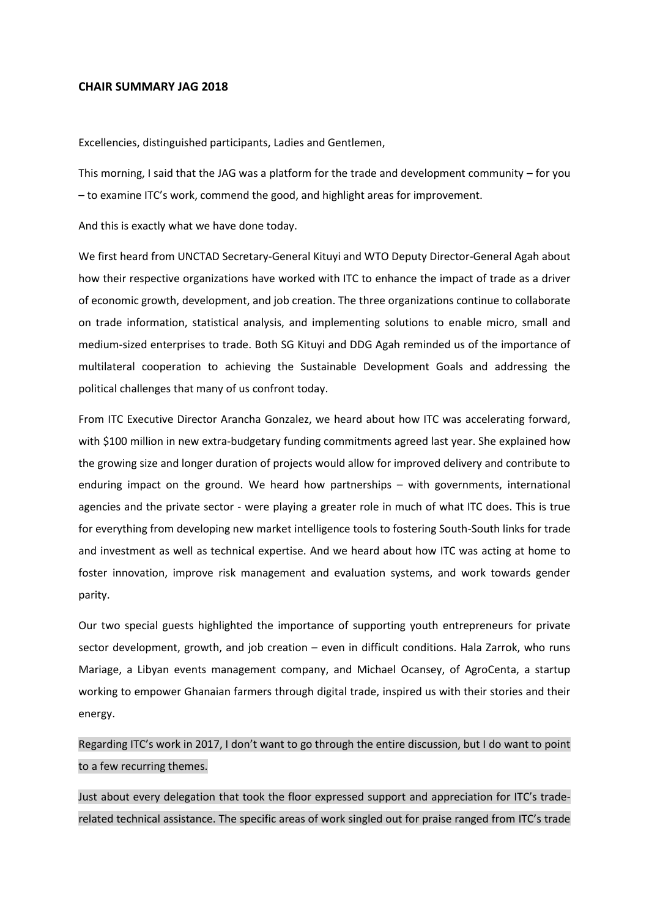## **CHAIR SUMMARY JAG 2018**

Excellencies, distinguished participants, Ladies and Gentlemen,

This morning, I said that the JAG was a platform for the trade and development community – for you – to examine ITC's work, commend the good, and highlight areas for improvement.

And this is exactly what we have done today.

We first heard from UNCTAD Secretary-General Kituyi and WTO Deputy Director-General Agah about how their respective organizations have worked with ITC to enhance the impact of trade as a driver of economic growth, development, and job creation. The three organizations continue to collaborate on trade information, statistical analysis, and implementing solutions to enable micro, small and medium-sized enterprises to trade. Both SG Kituyi and DDG Agah reminded us of the importance of multilateral cooperation to achieving the Sustainable Development Goals and addressing the political challenges that many of us confront today.

From ITC Executive Director Arancha Gonzalez, we heard about how ITC was accelerating forward, with \$100 million in new extra-budgetary funding commitments agreed last year. She explained how the growing size and longer duration of projects would allow for improved delivery and contribute to enduring impact on the ground. We heard how partnerships – with governments, international agencies and the private sector - were playing a greater role in much of what ITC does. This is true for everything from developing new market intelligence tools to fostering South-South links for trade and investment as well as technical expertise. And we heard about how ITC was acting at home to foster innovation, improve risk management and evaluation systems, and work towards gender parity.

Our two special guests highlighted the importance of supporting youth entrepreneurs for private sector development, growth, and job creation – even in difficult conditions. Hala Zarrok, who runs Mariage, a Libyan events management company, and Michael Ocansey, of AgroCenta, a startup working to empower Ghanaian farmers through digital trade, inspired us with their stories and their energy.

Regarding ITC's work in 2017, I don't want to go through the entire discussion, but I do want to point to a few recurring themes.

Just about every delegation that took the floor expressed support and appreciation for ITC's traderelated technical assistance. The specific areas of work singled out for praise ranged from ITC's trade